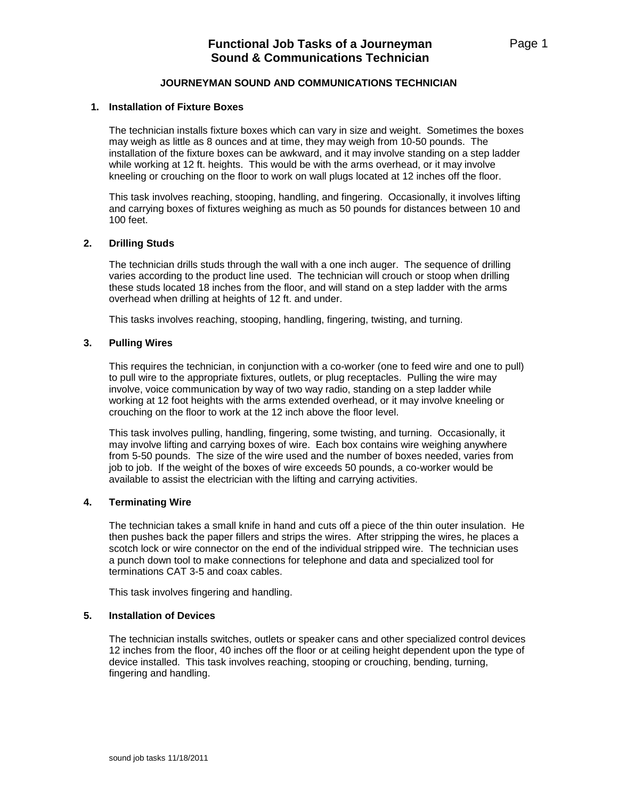# **JOURNEYMAN SOUND AND COMMUNICATIONS TECHNICIAN**

### **1. Installation of Fixture Boxes**

The technician installs fixture boxes which can vary in size and weight. Sometimes the boxes may weigh as little as 8 ounces and at time, they may weigh from 10-50 pounds. The installation of the fixture boxes can be awkward, and it may involve standing on a step ladder while working at 12 ft. heights. This would be with the arms overhead, or it may involve kneeling or crouching on the floor to work on wall plugs located at 12 inches off the floor.

This task involves reaching, stooping, handling, and fingering. Occasionally, it involves lifting and carrying boxes of fixtures weighing as much as 50 pounds for distances between 10 and 100 feet.

#### **2. Drilling Studs**

The technician drills studs through the wall with a one inch auger. The sequence of drilling varies according to the product line used. The technician will crouch or stoop when drilling these studs located 18 inches from the floor, and will stand on a step ladder with the arms overhead when drilling at heights of 12 ft. and under.

This tasks involves reaching, stooping, handling, fingering, twisting, and turning.

#### **3. Pulling Wires**

This requires the technician, in conjunction with a co-worker (one to feed wire and one to pull) to pull wire to the appropriate fixtures, outlets, or plug receptacles. Pulling the wire may involve, voice communication by way of two way radio, standing on a step ladder while working at 12 foot heights with the arms extended overhead, or it may involve kneeling or crouching on the floor to work at the 12 inch above the floor level.

This task involves pulling, handling, fingering, some twisting, and turning. Occasionally, it may involve lifting and carrying boxes of wire. Each box contains wire weighing anywhere from 5-50 pounds. The size of the wire used and the number of boxes needed, varies from job to job. If the weight of the boxes of wire exceeds 50 pounds, a co-worker would be available to assist the electrician with the lifting and carrying activities.

# **4. Terminating Wire**

The technician takes a small knife in hand and cuts off a piece of the thin outer insulation. He then pushes back the paper fillers and strips the wires. After stripping the wires, he places a scotch lock or wire connector on the end of the individual stripped wire. The technician uses a punch down tool to make connections for telephone and data and specialized tool for terminations CAT 3-5 and coax cables.

This task involves fingering and handling.

#### **5. Installation of Devices**

The technician installs switches, outlets or speaker cans and other specialized control devices 12 inches from the floor, 40 inches off the floor or at ceiling height dependent upon the type of device installed. This task involves reaching, stooping or crouching, bending, turning, fingering and handling.